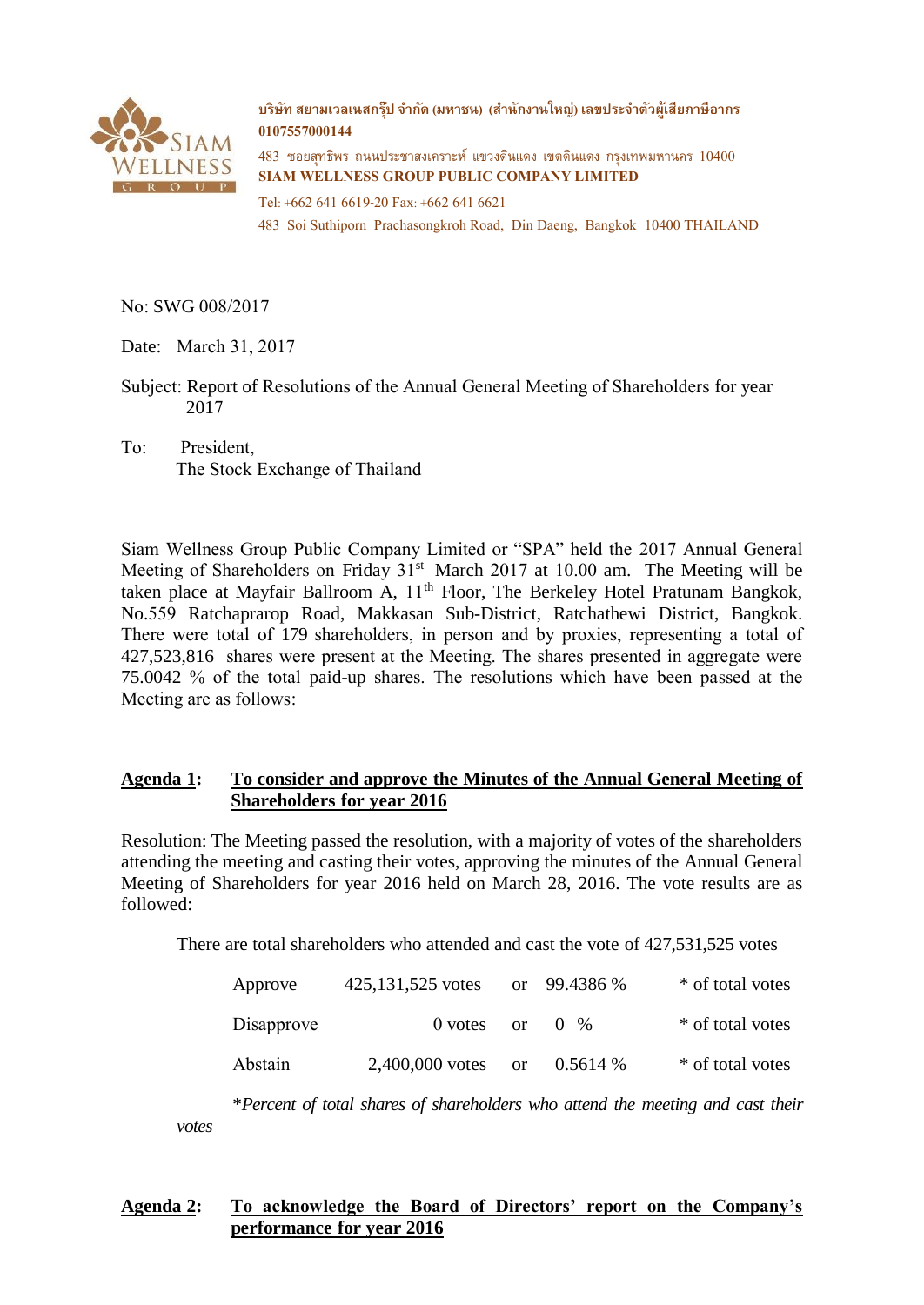

**บริษทั สยามเวลเนสกรุ๊ป จ ากัด (มหาชน) (ส านักงานใหญ่) เลขประจ าตัวผู้เสียภาษีอากร 0107557000144**

483 ซอยสุทธิพร ถนนประชาสงเคราะห์ แขวงดินแดง เขตดินแดง กรุงเทพมหานคร 10400 **SIAM WELLNESS GROUP PUBLIC COMPANY LIMITED**

Tel: +662 641 6619-20 Fax: +662 641 6621 483 Soi Suthiporn Prachasongkroh Road, Din Daeng, Bangkok 10400 THAILAND

No: SWG 008/2017

*votes*

Date: March 31, 2017

Subject: Report of Resolutions of the Annual General Meeting of Shareholders for year 2017

To: President, The Stock Exchange of Thailand

Siam Wellness Group Public Company Limited or "SPA" held the 2017 Annual General Meeting of Shareholders on Friday  $31<sup>st</sup>$  March 2017 at 10.00 am. The Meeting will be taken place at Mayfair Ballroom A, 11<sup>th</sup> Floor, The Berkeley Hotel Pratunam Bangkok, No.559 Ratchaprarop Road, Makkasan Sub-District, Ratchathewi District, Bangkok. There were total of 179 shareholders, in person and by proxies, representing a total of 427,523,816 shares were present at the Meeting. The shares presented in aggregate were 75.0042 % of the total paid-up shares. The resolutions which have been passed at the Meeting are as follows:

## **Agenda 1: To consider and approve the Minutes of the Annual General Meeting of Shareholders for year 2016**

Resolution: The Meeting passed the resolution, with a majority of votes of the shareholders attending the meeting and casting their votes, approving the minutes of the Annual General Meeting of Shareholders for year 2016 held on March 28, 2016. The vote results are as followed:

There are total shareholders who attended and cast the vote of 427,531,525 votes

| Approve    | 425,131,525 votes |               | or $99.4386\%$ | * of total votes |
|------------|-------------------|---------------|----------------|------------------|
| Disapprove | $0$ votes         | <sub>or</sub> | $(1 \, 9)$     | * of total votes |
| Abstain    | 2,400,000 votes   | <sub>or</sub> | $0.5614\%$     | * of total votes |

\**Percent of total shares of shareholders who attend the meeting and cast their* 

## **Agenda 2: To acknowledge the Board of Directors' report on the Company's performance for year 2016**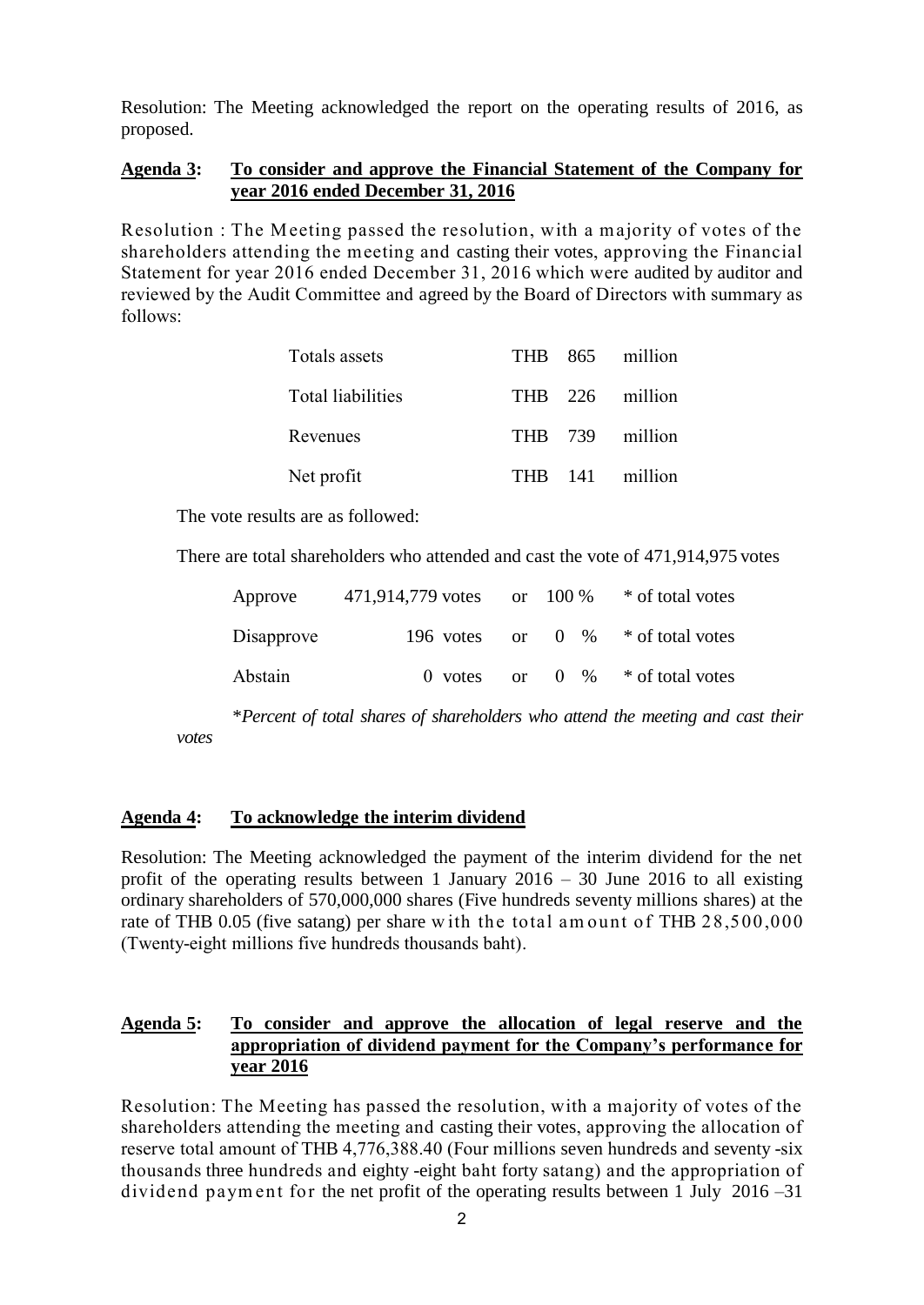Resolution: The Meeting acknowledged the report on the operating results of 2016, as proposed.

## **Agenda 3: To consider and approve the Financial Statement of the Company for year 2016 ended December 31, 2016**

Resolution : The M eeting passed the resolution, with a majority of votes of the shareholders attending the meeting and casting their votes, approving the Financial Statement for year 2016 ended December 31, 2016 which were audited by auditor and reviewed by the Audit Committee and agreed by the Board of Directors with summary as follows:

| Totals assets     |  | THB 865 million |
|-------------------|--|-----------------|
| Total liabilities |  | THB 226 million |
| Revenues          |  | THB 739 million |
| Net profit        |  | THB 141 million |

The vote results are as followed:

There are total shareholders who attended and cast the vote of 471,914,975 votes

| Approve    | 471,914,779 votes or $100\%$ * of total votes |          |                         |
|------------|-----------------------------------------------|----------|-------------------------|
| Disapprove | 196 votes                                     | $\alpha$ | $0 \%$ * of total votes |
| Abstain    | $\theta$ votes                                | $\alpha$ | $0\%$ * of total votes  |

\**Percent of total shares of shareholders who attend the meeting and cast their votes*

#### **Agenda 4: To acknowledge the interim dividend**

Resolution: The Meeting acknowledged the payment of the interim dividend for the net profit of the operating results between 1 January  $2016 - 30$  June 2016 to all existing ordinary shareholders of 570,000,000 shares (Five hundreds seventy millions shares) at the rate of THB 0.05 (five satang) per share w ith the total am ount of THB 28,500,000 (Twenty-eight millions five hundreds thousands baht).

## **Agenda 5: To consider and approve the allocation of legal reserve and the appropriation of dividend payment for the Company's performance for year 2016**

Resolution: The Meeting has passed the resolution, with a majority of votes of the shareholders attending the meeting and casting their votes, approving the allocation of reserve total amount of THB 4,776,388.40 (Four millions seven hundreds and seventy -six thousands three hundreds and eighty -eight baht forty satang) and the appropriation of dividend paym ent for the net profit of the operating results between 1 July 2016 –31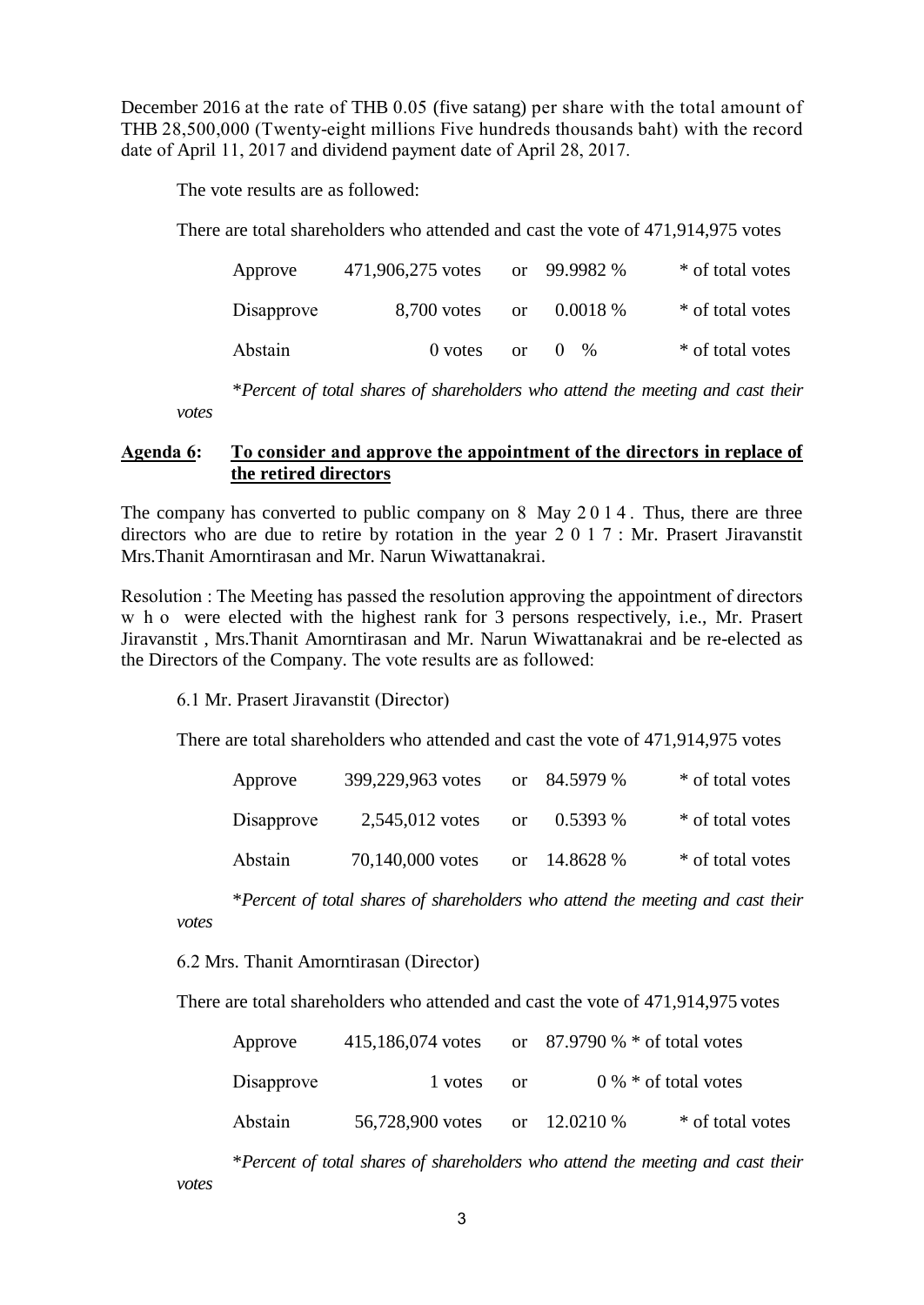December 2016 at the rate of THB 0.05 (five satang) per share with the total amount of THB 28,500,000 (Twenty-eight millions Five hundreds thousands baht) with the record date of April 11, 2017 and dividend payment date of April 28, 2017.

The vote results are as followed:

*votes*

*votes*

There are total shareholders who attended and cast the vote of 471,914,975 votes

| Approve    | 471,906,275 votes |               | or 99.9982 %         | * of total votes |
|------------|-------------------|---------------|----------------------|------------------|
| Disapprove | 8,700 votes       | <sub>or</sub> | 0.0018%              | * of total votes |
| Abstain    | $0$ votes         | $\alpha$ r    | $\%$<br>$\mathbf{0}$ | * of total votes |

\**Percent of total shares of shareholders who attend the meeting and cast their* 

#### **Agenda 6: To consider and approve the appointment of the directors in replace of the retired directors**

The company has converted to public company on 8 May 2 0 1 4 . Thus, there are three directors who are due to retire by rotation in the year 2017 : Mr. Prasert Jiravanstit Mrs.Thanit Amorntirasan and Mr. Narun Wiwattanakrai.

Resolution : The Meeting has passed the resolution approving the appointment of directors w h o were elected with the highest rank for 3 persons respectively, i.e., Mr. Prasert Jiravanstit , Mrs.Thanit Amorntirasan and Mr. Narun Wiwattanakrai and be re-elected as the Directors of the Company. The vote results are as followed:

6.1 Mr. Prasert Jiravanstit (Director)

There are total shareholders who attended and cast the vote of 471,914,975 votes

| Approve    | 399,229,963 votes |    | or $84.5979%$ | * of total votes |
|------------|-------------------|----|---------------|------------------|
| Disapprove | 2,545,012 votes   | or | $0.5393\%$    | * of total votes |
| Abstain    | 70,140,000 votes  |    | or $14.8628%$ | * of total votes |

\**Percent of total shares of shareholders who attend the meeting and cast their* 

6.2 Mrs. Thanit Amorntirasan (Director)

There are total shareholders who attended and cast the vote of 471,914,975 votes

| Approve    | 415,186,074 votes             |               | or $87.9790\% *$ of total votes |                        |
|------------|-------------------------------|---------------|---------------------------------|------------------------|
| Disapprove | 1 votes                       | <sub>or</sub> |                                 | $0\% *$ of total votes |
| Abstain    | 56,728,900 votes or 12.0210 % |               |                                 | * of total votes       |

\**Percent of total shares of shareholders who attend the meeting and cast their votes*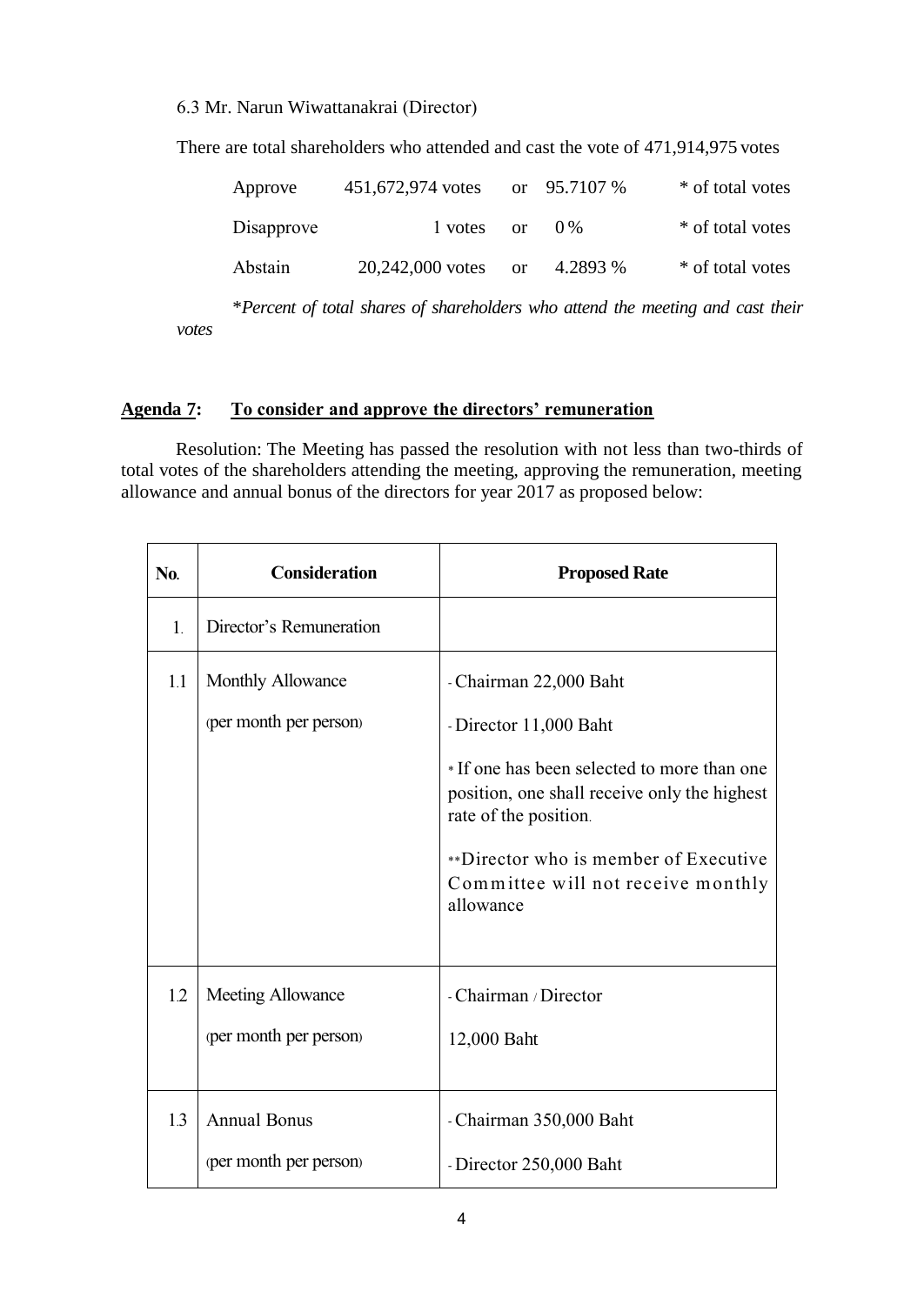#### 6.3 Mr. Narun Wiwattanakrai (Director)

There are total shareholders who attended and cast the vote of 471,914,975 votes

| Approve    | 451,672,974 votes |               | or $95.7107\%$ | * of total votes |
|------------|-------------------|---------------|----------------|------------------|
| Disapprove | l votes           | or            | $() \%$        | * of total votes |
| Abstain    | 20,242,000 votes  | <sub>or</sub> | 4.2893 %       | * of total votes |

\**Percent of total shares of shareholders who attend the meeting and cast their votes*

#### **Agenda 7: To consider and approve the directors' remuneration**

Resolution: The Meeting has passed the resolution with not less than two-thirds of total votes of the shareholders attending the meeting, approving the remuneration, meeting allowance and annual bonus of the directors for year 2017 as proposed below:

| No.            | <b>Consideration</b>    | <b>Proposed Rate</b>                                                                                                 |
|----------------|-------------------------|----------------------------------------------------------------------------------------------------------------------|
| $\mathbf{1}$ . | Director's Remuneration |                                                                                                                      |
| 1.1            | Monthly Allowance       | - Chairman 22,000 Baht                                                                                               |
|                | (per month per person)  | - Director 11,000 Baht                                                                                               |
|                |                         | * If one has been selected to more than one<br>position, one shall receive only the highest<br>rate of the position. |
|                |                         | **Director who is member of Executive<br>Committee will not receive monthly<br>allowance                             |
| 1.2            | Meeting Allowance       | - Chairman / Director                                                                                                |
|                | (per month per person)  | 12,000 Baht                                                                                                          |
| 1.3            | <b>Annual Bonus</b>     | - Chairman 350,000 Baht                                                                                              |
|                | (per month per person)  | - Director 250,000 Baht                                                                                              |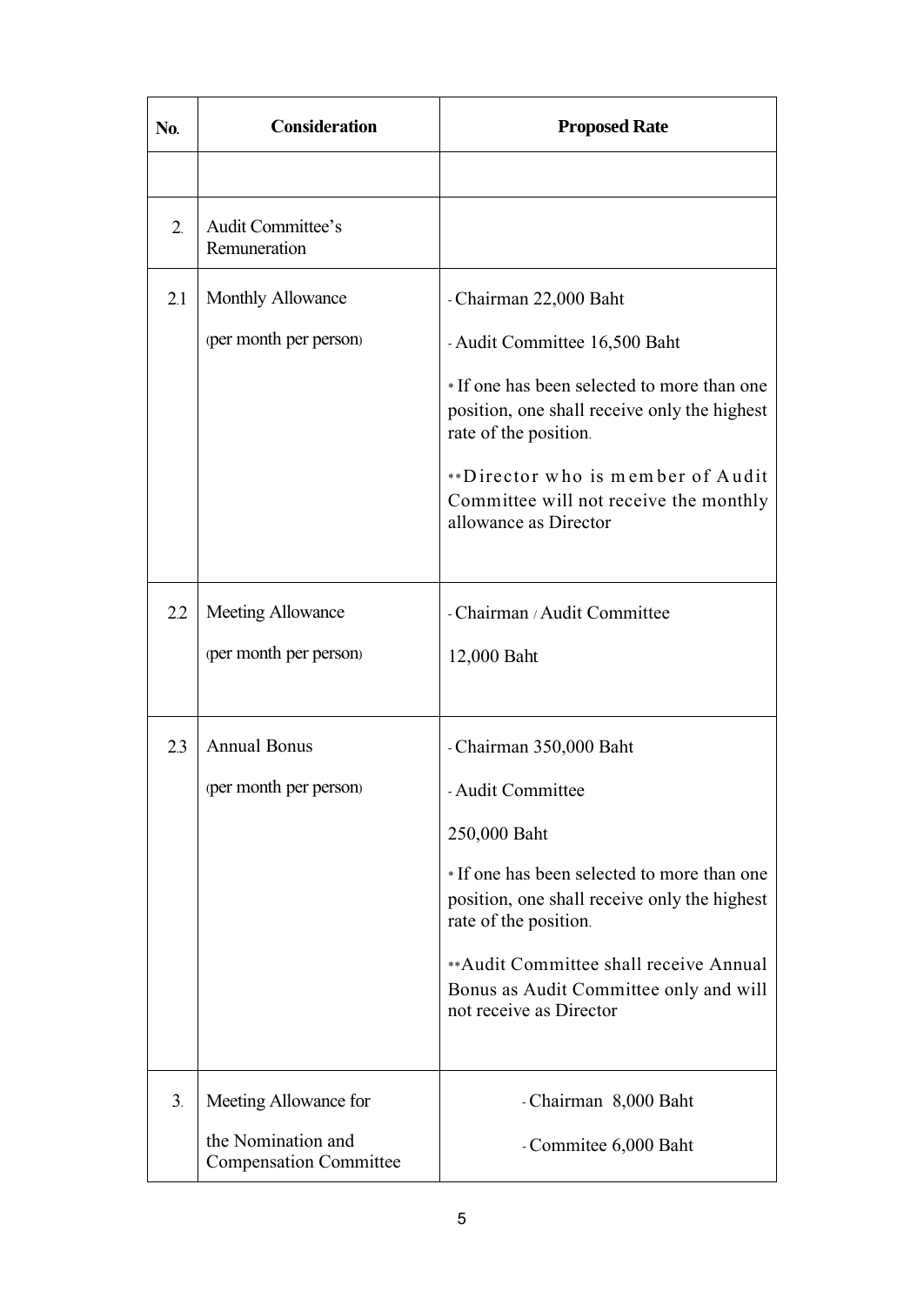| No. | Consideration                                                                | <b>Proposed Rate</b>                                                                                                                                                                                                                                                                               |
|-----|------------------------------------------------------------------------------|----------------------------------------------------------------------------------------------------------------------------------------------------------------------------------------------------------------------------------------------------------------------------------------------------|
|     |                                                                              |                                                                                                                                                                                                                                                                                                    |
| 2.  | Audit Committee's<br>Remuneration                                            |                                                                                                                                                                                                                                                                                                    |
| 2.1 | Monthly Allowance<br>(per month per person)                                  | - Chairman 22,000 Baht<br>- Audit Committee 16,500 Baht<br>* If one has been selected to more than one<br>position, one shall receive only the highest<br>rate of the position.<br>**Director who is member of Audit<br>Committee will not receive the monthly<br>allowance as Director            |
| 2.2 | Meeting Allowance<br>(per month per person)                                  | - Chairman / Audit Committee<br>12,000 Baht                                                                                                                                                                                                                                                        |
| 2.3 | <b>Annual Bonus</b><br>(per month per person)                                | - Chairman 350,000 Baht<br>- Audit Committee<br>250,000 Baht<br>*If one has been selected to more than one<br>position, one shall receive only the highest<br>rate of the position.<br>**Audit Committee shall receive Annual<br>Bonus as Audit Committee only and will<br>not receive as Director |
| 3.  | Meeting Allowance for<br>the Nomination and<br><b>Compensation Committee</b> | - Chairman 8,000 Baht<br>- Commitee 6,000 Baht                                                                                                                                                                                                                                                     |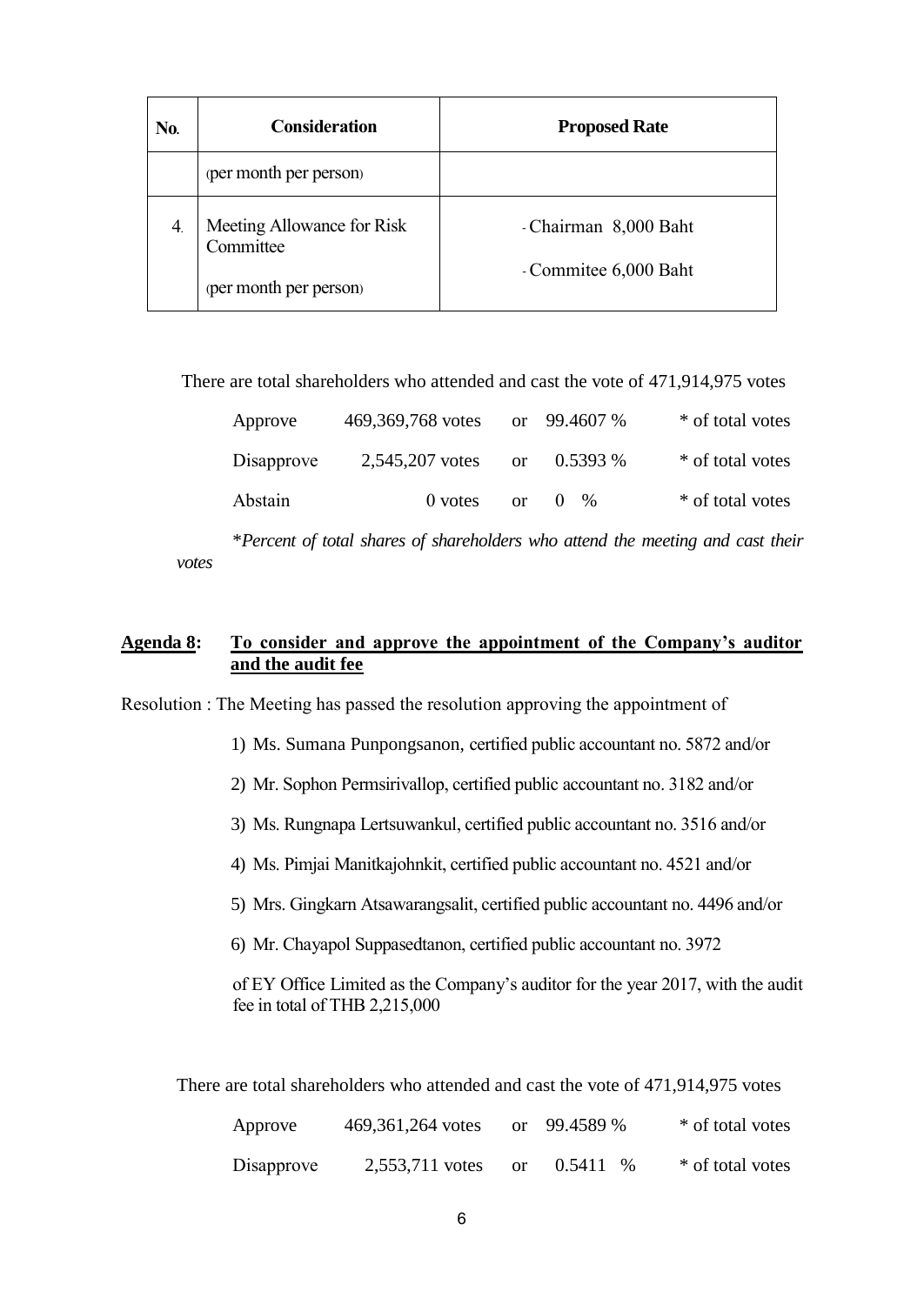| No. | <b>Consideration</b>                    | <b>Proposed Rate</b>  |
|-----|-----------------------------------------|-----------------------|
|     | (per month per person)                  |                       |
| 4.  | Meeting Allowance for Risk<br>Committee | - Chairman 8,000 Baht |
|     | (per month per person)                  | - Commitee 6,000 Baht |

There are total shareholders who attended and cast the vote of 471,914,975 votes

| Approve    | 469,369,768 votes |          | or $99.4607\%$  | * of total votes |
|------------|-------------------|----------|-----------------|------------------|
| Disapprove | 2,545,207 votes   | $\alpha$ | $0.5393\%$      | * of total votes |
| Abstain    | $0$ votes         | $\alpha$ | $0 \frac{9}{6}$ | * of total votes |

\**Percent of total shares of shareholders who attend the meeting and cast their votes*

# **Agenda 8: To consider and approve the appointment of the Company's auditor and the audit fee**

Resolution : The Meeting has passed the resolution approving the appointment of

- 1) Ms. Sumana Punpongsanon, certified public accountant no. 5872 and/or
- 2) Mr. Sophon Permsirivallop, certified public accountant no. 3182 and/or
- 3) Ms. Rungnapa Lertsuwankul, certified public accountant no. 3516 and/or
- 4) Ms. Pimjai Manitkajohnkit, certified public accountant no. 4521 and/or
- 5) Mrs. Gingkarn Atsawarangsalit, certified public accountant no. 4496 and/or
- 6) Mr. Chayapol Suppasedtanon, certified public accountant no. 3972

of EY Office Limited as the Company's auditor for the year 2017, with the audit fee in total of THB 2,215,000

There are total shareholders who attended and cast the vote of 471,914,975 votes

| Approve    | 469, 361, 264 votes |          | or $99.4589%$ | * of total votes |
|------------|---------------------|----------|---------------|------------------|
| Disapprove | 2,553,711 votes     | $\alpha$ | $0.5411\%$    | * of total votes |